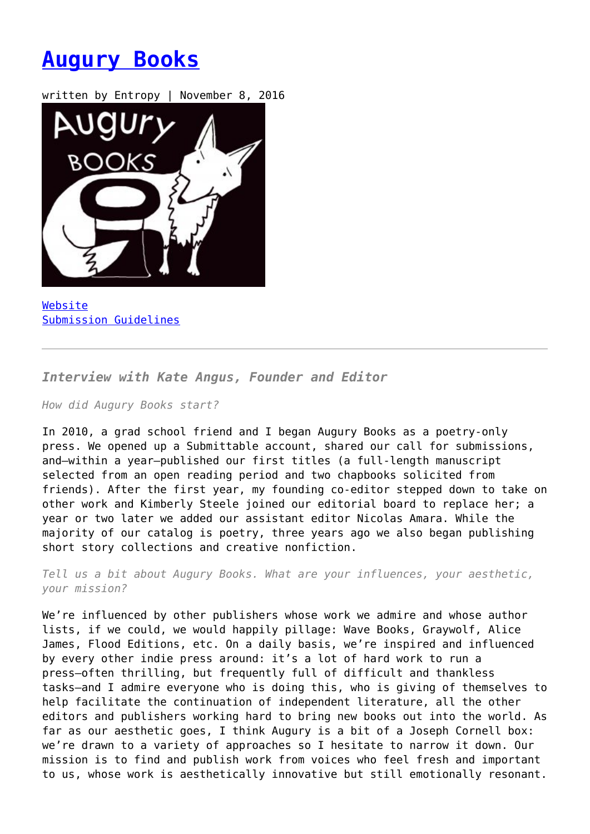## **[Augury Books](https://entropymag.org/augury-books/)**

written by Entropy | November 8, 2016



[Website](https://augurybooks.com/) [Submission Guidelines](https://augurybooks.com/submissions-closed/)

*Interview with Kate Angus, Founder and Editor*

*How did Augury Books start?*

In 2010, a grad school friend and I began Augury Books as a poetry-only press. We opened up a Submittable account, shared our call for submissions, and—within a year—published our first titles (a full-length manuscript selected from an open reading period and two chapbooks solicited from friends). After the first year, my founding co-editor stepped down to take on other work and Kimberly Steele joined our editorial board to replace her; a year or two later we added our assistant editor Nicolas Amara. While the majority of our catalog is poetry, three years ago we also began publishing short story collections and creative nonfiction.

*Tell us a bit about Augury Books. What are your influences, your aesthetic, your mission?*

We're influenced by other publishers whose work we admire and whose author lists, if we could, we would happily pillage: Wave Books, Graywolf, Alice James, Flood Editions, etc. On a daily basis, we're inspired and influenced by every other indie press around: it's a lot of hard work to run a press—often thrilling, but frequently full of difficult and thankless tasks—and I admire everyone who is doing this, who is giving of themselves to help facilitate the continuation of independent literature, all the other editors and publishers working hard to bring new books out into the world. As far as our aesthetic goes, I think Augury is a bit of a Joseph Cornell box: we're drawn to a variety of approaches so I hesitate to narrow it down. Our mission is to find and publish work from voices who feel fresh and important to us, whose work is aesthetically innovative but still emotionally resonant.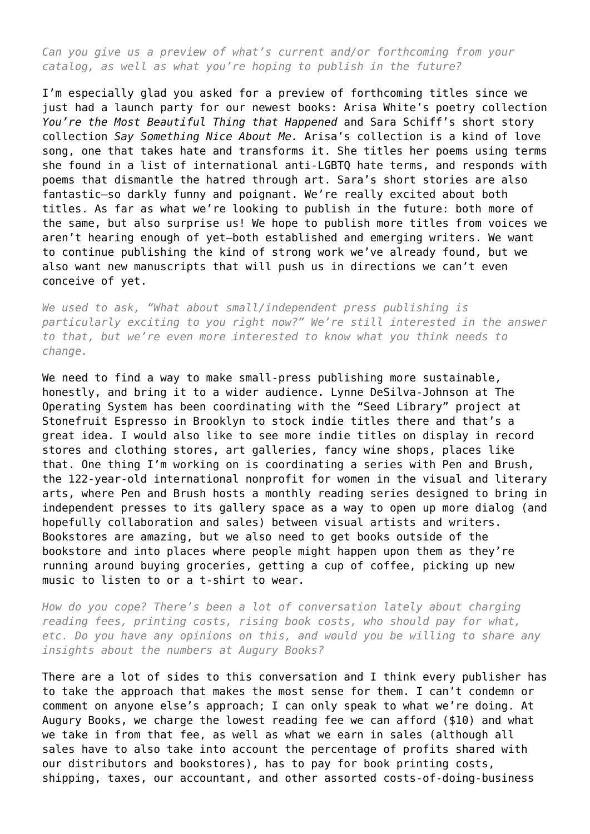*Can you give us a preview of what's current and/or forthcoming from your catalog, as well as what you're hoping to publish in the future?*

I'm especially glad you asked for a preview of forthcoming titles since we just had a launch party for our newest books: Arisa White's poetry collection *You're the Most Beautiful Thing that Happened* and Sara Schiff's short story collection *Say Something Nice About Me.* Arisa's collection is a kind of love song, one that takes hate and transforms it. She titles her poems using terms she found in a list of international anti-LGBTQ hate terms, and responds with poems that dismantle the hatred through art. Sara's short stories are also fantastic—so darkly funny and poignant. We're really excited about both titles. As far as what we're looking to publish in the future: both more of the same, but also surprise us! We hope to publish more titles from voices we aren't hearing enough of yet—both established and emerging writers. We want to continue publishing the kind of strong work we've already found, but we also want new manuscripts that will push us in directions we can't even conceive of yet.

*We used to ask, "What about small/independent press publishing is particularly exciting to you right now?" We're still interested in the answer to that, but we're even more interested to know what you think needs to change.*

We need to find a way to make small-press publishing more sustainable, honestly, and bring it to a wider audience. Lynne DeSilva-Johnson at The Operating System has been coordinating with the "Seed Library" project at Stonefruit Espresso in Brooklyn to stock indie titles there and that's a great idea. I would also like to see more indie titles on display in record stores and clothing stores, art galleries, fancy wine shops, places like that. One thing I'm working on is coordinating a series with Pen and Brush, the 122-year-old international nonprofit for women in the visual and literary arts, where Pen and Brush hosts a monthly reading series designed to bring in independent presses to its gallery space as a way to open up more dialog (and hopefully collaboration and sales) between visual artists and writers. Bookstores are amazing, but we also need to get books outside of the bookstore and into places where people might happen upon them as they're running around buying groceries, getting a cup of coffee, picking up new music to listen to or a t-shirt to wear.

*How do you cope? There's been a lot of conversation lately about charging reading fees, printing costs, rising book costs, who should pay for what, etc. Do you have any opinions on this, and would you be willing to share any insights about the numbers at Augury Books?*

There are a lot of sides to this conversation and I think every publisher has to take the approach that makes the most sense for them. I can't condemn or comment on anyone else's approach; I can only speak to what we're doing. At Augury Books, we charge the lowest reading fee we can afford (\$10) and what we take in from that fee, as well as what we earn in sales (although all sales have to also take into account the percentage of profits shared with our distributors and bookstores), has to pay for book printing costs, shipping, taxes, our accountant, and other assorted costs-of-doing-business